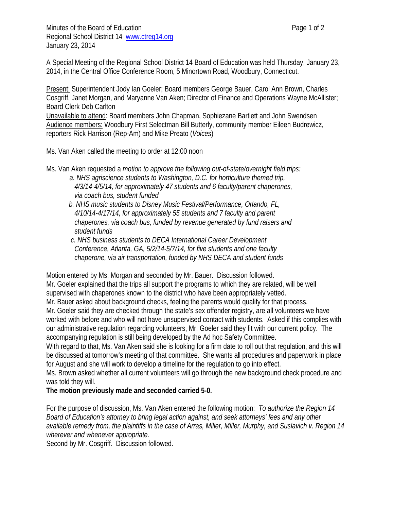Minutes of the Board of Education **Page 1** of 2 Regional School District 14 www.ctreg14.org January 23, 2014

A Special Meeting of the Regional School District 14 Board of Education was held Thursday, January 23, 2014, in the Central Office Conference Room, 5 Minortown Road, Woodbury, Connecticut.

Present: Superintendent Jody Ian Goeler; Board members George Bauer, Carol Ann Brown, Charles Cosgriff, Janet Morgan, and Maryanne Van Aken; Director of Finance and Operations Wayne McAllister; Board Clerk Deb Carlton Unavailable to attend: Board members John Chapman, Sophiezane Bartlett and John Swendsen Audience members: Woodbury First Selectman Bill Butterly, community member Eileen Budrewicz,

reporters Rick Harrison (Rep-Am) and Mike Preato (*Voices*)

Ms. Van Aken called the meeting to order at 12:00 noon

Ms. Van Aken requested a *motion to approve the following out-of-state/overnight field trips:* 

- *a. NHS agriscience students to Washington, D.C. for horticulture themed trip, 4/3/14-4/5/14, for approximately 47 students and 6 faculty/parent chaperones, via coach bus, student funded*
- *b. NHS music students to Disney Music Festival/Performance, Orlando, FL, 4/10/14-4/17/14, for approximately 55 students and 7 faculty and parent chaperones, via coach bus, funded by revenue generated by fund raisers and student funds*
- *c. NHS business students to DECA International Career Development Conference, Atlanta, GA, 5/2/14-5/7/14, for five students and one faculty chaperone, via air transportation, funded by NHS DECA and student funds*

Motion entered by Ms. Morgan and seconded by Mr. Bauer. Discussion followed. Mr. Goeler explained that the trips all support the programs to which they are related, will be well supervised with chaperones known to the district who have been appropriately vetted.

Mr. Bauer asked about background checks, feeling the parents would qualify for that process.

Mr. Goeler said they are checked through the state's sex offender registry, are all volunteers we have worked with before and who will not have unsupervised contact with students. Asked if this complies with our administrative regulation regarding volunteers, Mr. Goeler said they fit with our current policy. The accompanying regulation is still being developed by the Ad hoc Safety Committee.

With regard to that, Ms. Van Aken said she is looking for a firm date to roll out that regulation, and this will be discussed at tomorrow's meeting of that committee. She wants all procedures and paperwork in place for August and she will work to develop a timeline for the regulation to go into effect.

Ms. Brown asked whether all current volunteers will go through the new background check procedure and was told they will.

**The motion previously made and seconded carried 5-0.** 

For the purpose of discussion, Ms. Van Aken entered the following motion: *To authorize the Region 14 Board of Education's attorney to bring legal action against, and seek attorneys' fees and any other available remedy from, the plaintiffs in the case of Arras, Miller, Miller, Murphy, and Suslavich v. Region 14 wherever and whenever appropriate.*

Second by Mr. Cosgriff. Discussion followed.